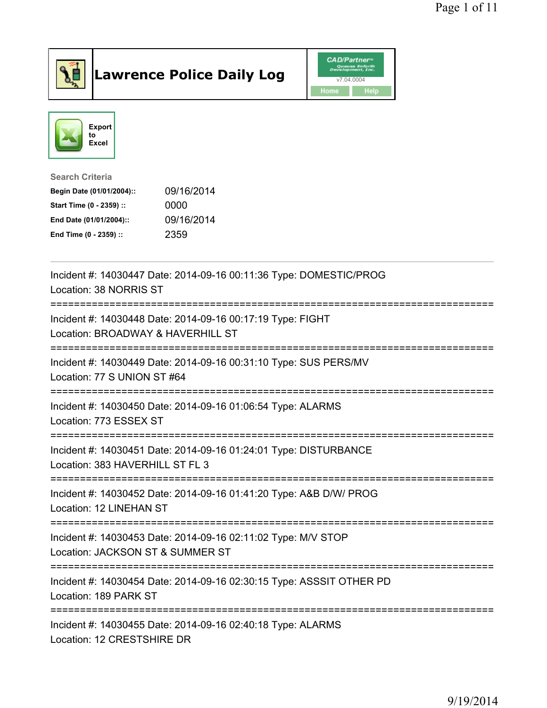

## Lawrence Police Daily Log Value of the CAD/Partner





Search Criteria

| Begin Date (01/01/2004):: | 09/16/2014 |
|---------------------------|------------|
| Start Time (0 - 2359) ::  | 0000       |
| End Date (01/01/2004)::   | 09/16/2014 |
| End Time (0 - 2359) ::    | 2359       |

| Incident #: 14030447 Date: 2014-09-16 00:11:36 Type: DOMESTIC/PROG<br>Location: 38 NORRIS ST                                  |
|-------------------------------------------------------------------------------------------------------------------------------|
| Incident #: 14030448 Date: 2014-09-16 00:17:19 Type: FIGHT<br>Location: BROADWAY & HAVERHILL ST                               |
| Incident #: 14030449 Date: 2014-09-16 00:31:10 Type: SUS PERS/MV<br>Location: 77 S UNION ST #64                               |
| Incident #: 14030450 Date: 2014-09-16 01:06:54 Type: ALARMS<br>Location: 773 ESSEX ST                                         |
| Incident #: 14030451 Date: 2014-09-16 01:24:01 Type: DISTURBANCE<br>Location: 383 HAVERHILL ST FL 3                           |
| Incident #: 14030452 Date: 2014-09-16 01:41:20 Type: A&B D/W/ PROG<br>Location: 12 LINEHAN ST                                 |
| Incident #: 14030453 Date: 2014-09-16 02:11:02 Type: M/V STOP<br>Location: JACKSON ST & SUMMER ST<br>------------------------ |
| Incident #: 14030454 Date: 2014-09-16 02:30:15 Type: ASSSIT OTHER PD<br>Location: 189 PARK ST                                 |
| Incident #: 14030455 Date: 2014-09-16 02:40:18 Type: ALARMS<br>Location: 12 CRESTSHIRE DR                                     |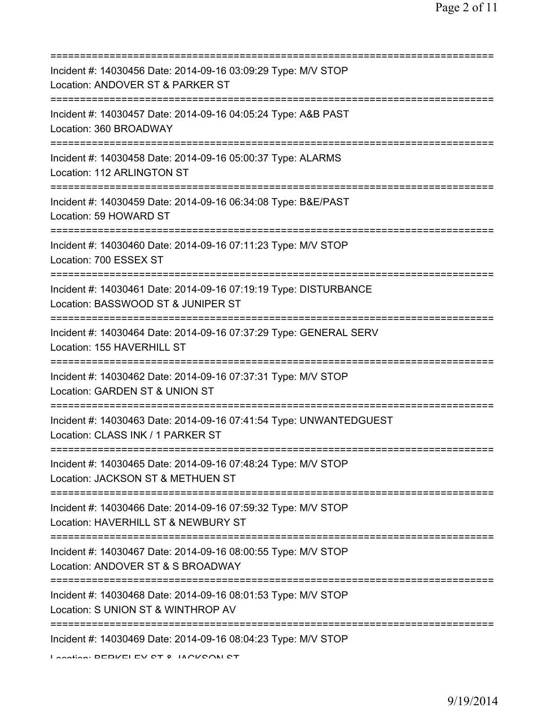| Incident #: 14030456 Date: 2014-09-16 03:09:29 Type: M/V STOP<br>Location: ANDOVER ST & PARKER ST                                           |
|---------------------------------------------------------------------------------------------------------------------------------------------|
| Incident #: 14030457 Date: 2014-09-16 04:05:24 Type: A&B PAST<br>Location: 360 BROADWAY                                                     |
| Incident #: 14030458 Date: 2014-09-16 05:00:37 Type: ALARMS<br>Location: 112 ARLINGTON ST                                                   |
| Incident #: 14030459 Date: 2014-09-16 06:34:08 Type: B&E/PAST<br>Location: 59 HOWARD ST                                                     |
| Incident #: 14030460 Date: 2014-09-16 07:11:23 Type: M/V STOP<br>Location: 700 ESSEX ST<br>====================================             |
| Incident #: 14030461 Date: 2014-09-16 07:19:19 Type: DISTURBANCE<br>Location: BASSWOOD ST & JUNIPER ST<br>=========================         |
| Incident #: 14030464 Date: 2014-09-16 07:37:29 Type: GENERAL SERV<br>Location: 155 HAVERHILL ST<br>==================================       |
| Incident #: 14030462 Date: 2014-09-16 07:37:31 Type: M/V STOP<br>Location: GARDEN ST & UNION ST                                             |
| Incident #: 14030463 Date: 2014-09-16 07:41:54 Type: UNWANTEDGUEST<br>Location: CLASS INK / 1 PARKER ST                                     |
| Incident #: 14030465 Date: 2014-09-16 07:48:24 Type: M/V STOP<br>Location: JACKSON ST & METHUEN ST                                          |
| Incident #: 14030466 Date: 2014-09-16 07:59:32 Type: M/V STOP<br>Location: HAVERHILL ST & NEWBURY ST                                        |
| ;====================================<br>Incident #: 14030467 Date: 2014-09-16 08:00:55 Type: M/V STOP<br>Location: ANDOVER ST & S BROADWAY |
| ====================================<br>Incident #: 14030468 Date: 2014-09-16 08:01:53 Type: M/V STOP<br>Location: S UNION ST & WINTHROP AV |
| Incident #: 14030469 Date: 2014-09-16 08:04:23 Type: M/V STOP                                                                               |

Location: BEDIZELEV CT & JACKCON CT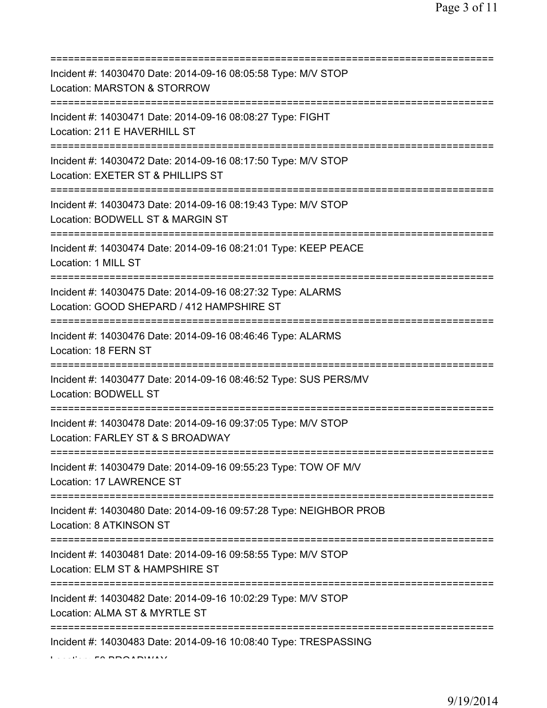| Incident #: 14030470 Date: 2014-09-16 08:05:58 Type: M/V STOP<br>Location: MARSTON & STORROW                                                |
|---------------------------------------------------------------------------------------------------------------------------------------------|
| Incident #: 14030471 Date: 2014-09-16 08:08:27 Type: FIGHT<br>Location: 211 E HAVERHILL ST                                                  |
| Incident #: 14030472 Date: 2014-09-16 08:17:50 Type: M/V STOP<br>Location: EXETER ST & PHILLIPS ST<br>===================================== |
| Incident #: 14030473 Date: 2014-09-16 08:19:43 Type: M/V STOP<br>Location: BODWELL ST & MARGIN ST                                           |
| Incident #: 14030474 Date: 2014-09-16 08:21:01 Type: KEEP PEACE<br>Location: 1 MILL ST                                                      |
| Incident #: 14030475 Date: 2014-09-16 08:27:32 Type: ALARMS<br>Location: GOOD SHEPARD / 412 HAMPSHIRE ST<br>:==================             |
| Incident #: 14030476 Date: 2014-09-16 08:46:46 Type: ALARMS<br>Location: 18 FERN ST                                                         |
| Incident #: 14030477 Date: 2014-09-16 08:46:52 Type: SUS PERS/MV<br>Location: BODWELL ST                                                    |
| Incident #: 14030478 Date: 2014-09-16 09:37:05 Type: M/V STOP<br>Location: FARLEY ST & S BROADWAY                                           |
| Incident #: 14030479 Date: 2014-09-16 09:55:23 Type: TOW OF M/V<br>Location: 17 LAWRENCE ST                                                 |
| Incident #: 14030480 Date: 2014-09-16 09:57:28 Type: NEIGHBOR PROB<br>Location: 8 ATKINSON ST                                               |
| Incident #: 14030481 Date: 2014-09-16 09:58:55 Type: M/V STOP<br>Location: ELM ST & HAMPSHIRE ST                                            |
| Incident #: 14030482 Date: 2014-09-16 10:02:29 Type: M/V STOP<br>Location: ALMA ST & MYRTLE ST                                              |
| Incident #: 14030483 Date: 2014-09-16 10:08:40 Type: TRESPASSING                                                                            |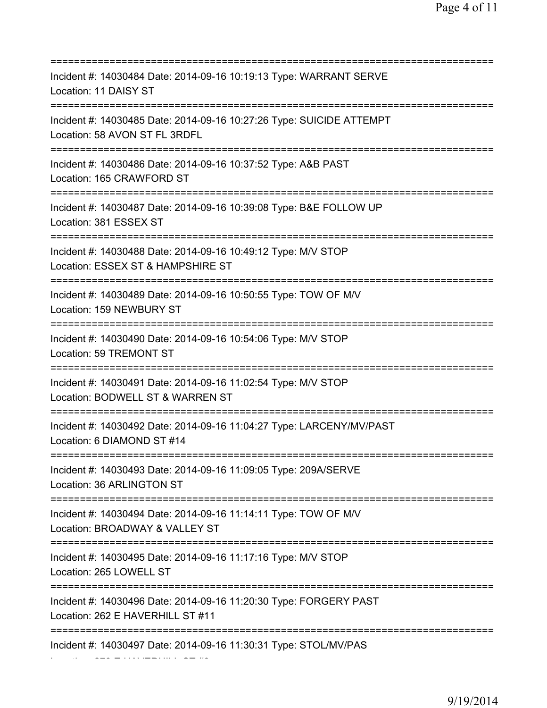=========================================================================== Incident #: 14030484 Date: 2014-09-16 10:19:13 Type: WARRANT SERVE Location: 11 DAISY ST =========================================================================== Incident #: 14030485 Date: 2014-09-16 10:27:26 Type: SUICIDE ATTEMPT Location: 58 AVON ST FL 3RDFL =========================================================================== Incident #: 14030486 Date: 2014-09-16 10:37:52 Type: A&B PAST Location: 165 CRAWFORD ST =========================================================================== Incident #: 14030487 Date: 2014-09-16 10:39:08 Type: B&E FOLLOW UP Location: 381 ESSEX ST =========================================================================== Incident #: 14030488 Date: 2014-09-16 10:49:12 Type: M/V STOP Location: ESSEX ST & HAMPSHIRE ST =========================================================================== Incident #: 14030489 Date: 2014-09-16 10:50:55 Type: TOW OF M/V Location: 159 NEWBURY ST =========================================================================== Incident #: 14030490 Date: 2014-09-16 10:54:06 Type: M/V STOP Location: 59 TREMONT ST =========================================================================== Incident #: 14030491 Date: 2014-09-16 11:02:54 Type: M/V STOP Location: BODWELL ST & WARREN ST =========================================================================== Incident #: 14030492 Date: 2014-09-16 11:04:27 Type: LARCENY/MV/PAST Location: 6 DIAMOND ST #14 =========================================================================== Incident #: 14030493 Date: 2014-09-16 11:09:05 Type: 209A/SERVE Location: 36 ARLINGTON ST =========================================================================== Incident #: 14030494 Date: 2014-09-16 11:14:11 Type: TOW OF M/V Location: BROADWAY & VALLEY ST =========================================================================== Incident #: 14030495 Date: 2014-09-16 11:17:16 Type: M/V STOP Location: 265 LOWELL ST =========================================================================== Incident #: 14030496 Date: 2014-09-16 11:20:30 Type: FORGERY PAST Location: 262 E HAVERHILL ST #11 =========================================================================== Incident #: 14030497 Date: 2014-09-16 11:30:31 Type: STOL/MV/PAS Location: 270 E HAVERHILL ST #9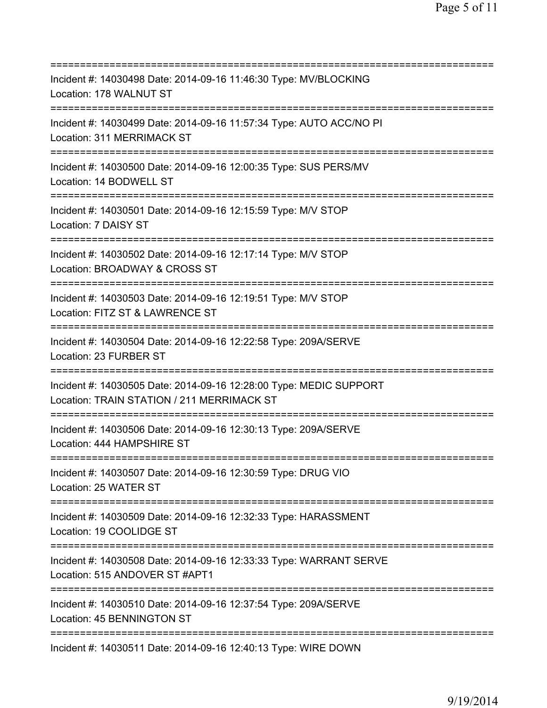| Incident #: 14030498 Date: 2014-09-16 11:46:30 Type: MV/BLOCKING<br>Location: 178 WALNUT ST                                        |
|------------------------------------------------------------------------------------------------------------------------------------|
| Incident #: 14030499 Date: 2014-09-16 11:57:34 Type: AUTO ACC/NO PI<br>Location: 311 MERRIMACK ST<br>======================        |
| Incident #: 14030500 Date: 2014-09-16 12:00:35 Type: SUS PERS/MV<br>Location: 14 BODWELL ST<br>======================              |
| Incident #: 14030501 Date: 2014-09-16 12:15:59 Type: M/V STOP<br>Location: 7 DAISY ST                                              |
| Incident #: 14030502 Date: 2014-09-16 12:17:14 Type: M/V STOP<br>Location: BROADWAY & CROSS ST<br>================================ |
| Incident #: 14030503 Date: 2014-09-16 12:19:51 Type: M/V STOP<br>Location: FITZ ST & LAWRENCE ST<br>===================            |
| Incident #: 14030504 Date: 2014-09-16 12:22:58 Type: 209A/SERVE<br>Location: 23 FURBER ST                                          |
| Incident #: 14030505 Date: 2014-09-16 12:28:00 Type: MEDIC SUPPORT<br>Location: TRAIN STATION / 211 MERRIMACK ST                   |
| Incident #: 14030506 Date: 2014-09-16 12:30:13 Type: 209A/SERVE<br>Location: 444 HAMPSHIRE ST                                      |
| Incident #: 14030507 Date: 2014-09-16 12:30:59 Type: DRUG VIO<br>Location: 25 WATER ST                                             |
| Incident #: 14030509 Date: 2014-09-16 12:32:33 Type: HARASSMENT<br>Location: 19 COOLIDGE ST                                        |
| Incident #: 14030508 Date: 2014-09-16 12:33:33 Type: WARRANT SERVE<br>Location: 515 ANDOVER ST #APT1                               |
| Incident #: 14030510 Date: 2014-09-16 12:37:54 Type: 209A/SERVE<br>Location: 45 BENNINGTON ST                                      |
| Incident #: 14030511 Date: 2014-09-16 12:40:13 Type: WIRE DOWN                                                                     |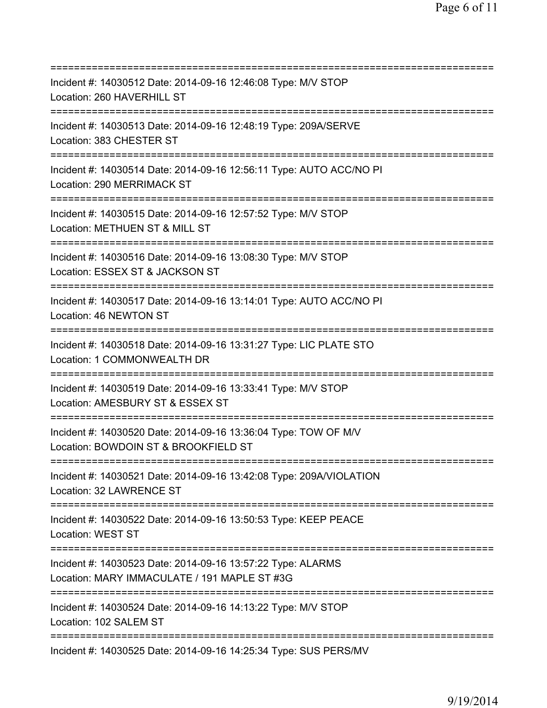| ========================                                                                                                          |
|-----------------------------------------------------------------------------------------------------------------------------------|
| Incident #: 14030512 Date: 2014-09-16 12:46:08 Type: M/V STOP<br>Location: 260 HAVERHILL ST<br>===================                |
| Incident #: 14030513 Date: 2014-09-16 12:48:19 Type: 209A/SERVE<br>Location: 383 CHESTER ST                                       |
| Incident #: 14030514 Date: 2014-09-16 12:56:11 Type: AUTO ACC/NO PI<br>Location: 290 MERRIMACK ST                                 |
| Incident #: 14030515 Date: 2014-09-16 12:57:52 Type: M/V STOP<br>Location: METHUEN ST & MILL ST                                   |
| Incident #: 14030516 Date: 2014-09-16 13:08:30 Type: M/V STOP<br>Location: ESSEX ST & JACKSON ST                                  |
| Incident #: 14030517 Date: 2014-09-16 13:14:01 Type: AUTO ACC/NO PI<br>Location: 46 NEWTON ST<br>================================ |
| Incident #: 14030518 Date: 2014-09-16 13:31:27 Type: LIC PLATE STO<br>Location: 1 COMMONWEALTH DR                                 |
| Incident #: 14030519 Date: 2014-09-16 13:33:41 Type: M/V STOP<br>Location: AMESBURY ST & ESSEX ST                                 |
| Incident #: 14030520 Date: 2014-09-16 13:36:04 Type: TOW OF M/V<br>Location: BOWDOIN ST & BROOKFIELD ST                           |
| Incident #: 14030521 Date: 2014-09-16 13:42:08 Type: 209A/VIOLATION<br>Location: 32 LAWRENCE ST                                   |
| Incident #: 14030522 Date: 2014-09-16 13:50:53 Type: KEEP PEACE<br><b>Location: WEST ST</b>                                       |
| Incident #: 14030523 Date: 2014-09-16 13:57:22 Type: ALARMS<br>Location: MARY IMMACULATE / 191 MAPLE ST #3G                       |
| Incident #: 14030524 Date: 2014-09-16 14:13:22 Type: M/V STOP<br>Location: 102 SALEM ST                                           |
| Incident #: 14030525 Date: 2014-09-16 14:25:34 Type: SUS PERS/MV                                                                  |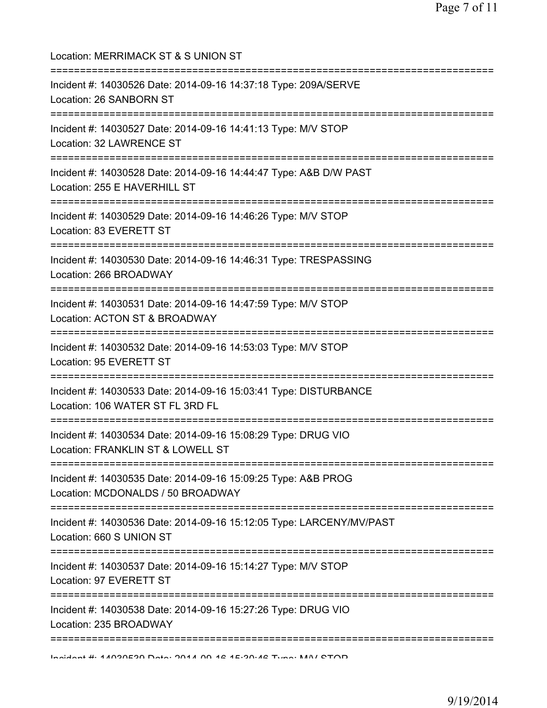| Location: MERRIMACK ST & S UNION ST                                                                                                   |
|---------------------------------------------------------------------------------------------------------------------------------------|
| Incident #: 14030526 Date: 2014-09-16 14:37:18 Type: 209A/SERVE<br>Location: 26 SANBORN ST                                            |
| Incident #: 14030527 Date: 2014-09-16 14:41:13 Type: M/V STOP<br>Location: 32 LAWRENCE ST                                             |
| Incident #: 14030528 Date: 2014-09-16 14:44:47 Type: A&B D/W PAST<br>Location: 255 E HAVERHILL ST<br>-------------------------------- |
| Incident #: 14030529 Date: 2014-09-16 14:46:26 Type: M/V STOP<br>Location: 83 EVERETT ST                                              |
| Incident #: 14030530 Date: 2014-09-16 14:46:31 Type: TRESPASSING<br>Location: 266 BROADWAY                                            |
| Incident #: 14030531 Date: 2014-09-16 14:47:59 Type: M/V STOP<br>Location: ACTON ST & BROADWAY                                        |
| Incident #: 14030532 Date: 2014-09-16 14:53:03 Type: M/V STOP<br>Location: 95 EVERETT ST                                              |
| Incident #: 14030533 Date: 2014-09-16 15:03:41 Type: DISTURBANCE<br>Location: 106 WATER ST FL 3RD FL                                  |
| Incident #: 14030534 Date: 2014-09-16 15:08:29 Type: DRUG VIO<br>Location: FRANKLIN ST & LOWELL ST                                    |
| Incident #: 14030535 Date: 2014-09-16 15:09:25 Type: A&B PROG<br>Location: MCDONALDS / 50 BROADWAY                                    |
| Incident #: 14030536 Date: 2014-09-16 15:12:05 Type: LARCENY/MV/PAST<br>Location: 660 S UNION ST                                      |
| Incident #: 14030537 Date: 2014-09-16 15:14:27 Type: M/V STOP<br>Location: 97 EVERETT ST                                              |
| Incident #: 14030538 Date: 2014-09-16 15:27:26 Type: DRUG VIO<br>Location: 235 BROADWAY                                               |
| Indidnot #: 4 ANONEON Data: 004 A NO 42 4E.00.42 Tunn: MAN/ CTOD                                                                      |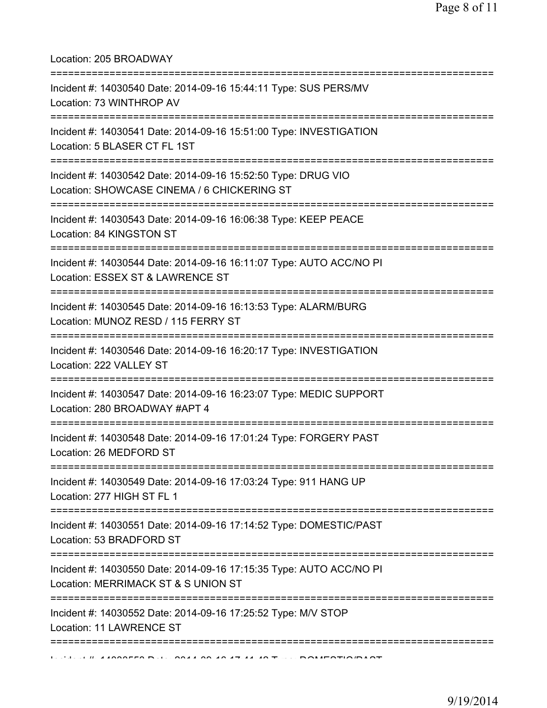Location: 205 BROADWAY

| Incident #: 14030540 Date: 2014-09-16 15:44:11 Type: SUS PERS/MV<br>Location: 73 WINTHROP AV                                   |
|--------------------------------------------------------------------------------------------------------------------------------|
| Incident #: 14030541 Date: 2014-09-16 15:51:00 Type: INVESTIGATION<br>Location: 5 BLASER CT FL 1ST                             |
| Incident #: 14030542 Date: 2014-09-16 15:52:50 Type: DRUG VIO<br>Location: SHOWCASE CINEMA / 6 CHICKERING ST                   |
| Incident #: 14030543 Date: 2014-09-16 16:06:38 Type: KEEP PEACE<br>Location: 84 KINGSTON ST<br>;============================== |
| Incident #: 14030544 Date: 2014-09-16 16:11:07 Type: AUTO ACC/NO PI<br>Location: ESSEX ST & LAWRENCE ST                        |
| Incident #: 14030545 Date: 2014-09-16 16:13:53 Type: ALARM/BURG<br>Location: MUNOZ RESD / 115 FERRY ST                         |
| Incident #: 14030546 Date: 2014-09-16 16:20:17 Type: INVESTIGATION<br>Location: 222 VALLEY ST                                  |
| Incident #: 14030547 Date: 2014-09-16 16:23:07 Type: MEDIC SUPPORT<br>Location: 280 BROADWAY #APT 4                            |
| Incident #: 14030548 Date: 2014-09-16 17:01:24 Type: FORGERY PAST<br>Location: 26 MEDFORD ST                                   |
| Incident #: 14030549 Date: 2014-09-16 17:03:24 Type: 911 HANG UP<br>Location: 277 HIGH ST FL 1                                 |
| Incident #: 14030551 Date: 2014-09-16 17:14:52 Type: DOMESTIC/PAST<br>Location: 53 BRADFORD ST                                 |
| Incident #: 14030550 Date: 2014-09-16 17:15:35 Type: AUTO ACC/NO PI<br>Location: MERRIMACK ST & S UNION ST                     |
| Incident #: 14030552 Date: 2014-09-16 17:25:52 Type: M/V STOP<br>Location: 11 LAWRENCE ST                                      |
|                                                                                                                                |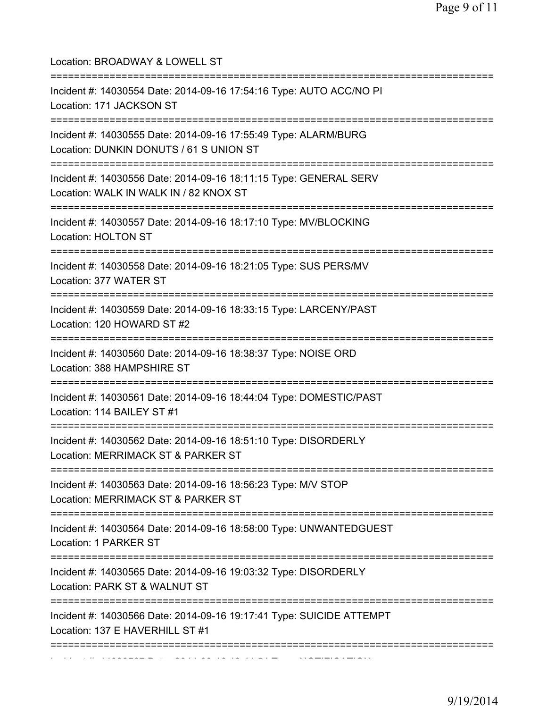| Location: BROADWAY & LOWELL ST                                                                                                                   |
|--------------------------------------------------------------------------------------------------------------------------------------------------|
| Incident #: 14030554 Date: 2014-09-16 17:54:16 Type: AUTO ACC/NO PI<br>Location: 171 JACKSON ST<br>====================================          |
| Incident #: 14030555 Date: 2014-09-16 17:55:49 Type: ALARM/BURG<br>Location: DUNKIN DONUTS / 61 S UNION ST<br>================================== |
| Incident #: 14030556 Date: 2014-09-16 18:11:15 Type: GENERAL SERV<br>Location: WALK IN WALK IN / 82 KNOX ST<br>================                  |
| Incident #: 14030557 Date: 2014-09-16 18:17:10 Type: MV/BLOCKING<br>Location: HOLTON ST                                                          |
| =====================<br>Incident #: 14030558 Date: 2014-09-16 18:21:05 Type: SUS PERS/MV<br>Location: 377 WATER ST                              |
| Incident #: 14030559 Date: 2014-09-16 18:33:15 Type: LARCENY/PAST<br>Location: 120 HOWARD ST #2                                                  |
| Incident #: 14030560 Date: 2014-09-16 18:38:37 Type: NOISE ORD<br>Location: 388 HAMPSHIRE ST                                                     |
| Incident #: 14030561 Date: 2014-09-16 18:44:04 Type: DOMESTIC/PAST<br>Location: 114 BAILEY ST #1                                                 |
| Incident #: 14030562 Date: 2014-09-16 18:51:10 Type: DISORDERLY<br>Location: MERRIMACK ST & PARKER ST                                            |
| Incident #: 14030563 Date: 2014-09-16 18:56:23 Type: M/V STOP<br>Location: MERRIMACK ST & PARKER ST                                              |
| :=================<br>Incident #: 14030564 Date: 2014-09-16 18:58:00 Type: UNWANTEDGUEST<br>Location: 1 PARKER ST                                |
| Incident #: 14030565 Date: 2014-09-16 19:03:32 Type: DISORDERLY<br>Location: PARK ST & WALNUT ST                                                 |
| Incident #: 14030566 Date: 2014-09-16 19:17:41 Type: SUICIDE ATTEMPT<br>Location: 137 E HAVERHILL ST #1                                          |
|                                                                                                                                                  |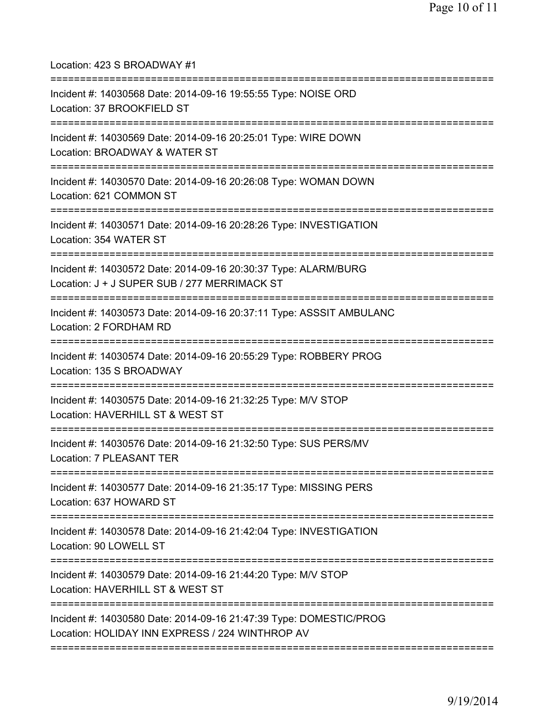Location: 423 S BROADWAY #1 =========================================================================== Incident #: 14030568 Date: 2014-09-16 19:55:55 Type: NOISE ORD Location: 37 BROOKFIELD ST =========================================================================== Incident #: 14030569 Date: 2014-09-16 20:25:01 Type: WIRE DOWN Location: BROADWAY & WATER ST =========================================================================== Incident #: 14030570 Date: 2014-09-16 20:26:08 Type: WOMAN DOWN Location: 621 COMMON ST =========================================================================== Incident #: 14030571 Date: 2014-09-16 20:28:26 Type: INVESTIGATION Location: 354 WATER ST =========================================================================== Incident #: 14030572 Date: 2014-09-16 20:30:37 Type: ALARM/BURG Location: J + J SUPER SUB / 277 MERRIMACK ST =========================================================================== Incident #: 14030573 Date: 2014-09-16 20:37:11 Type: ASSSIT AMBULANC Location: 2 FORDHAM RD =========================================================================== Incident #: 14030574 Date: 2014-09-16 20:55:29 Type: ROBBERY PROG Location: 135 S BROADWAY =========================================================================== Incident #: 14030575 Date: 2014-09-16 21:32:25 Type: M/V STOP Location: HAVERHILL ST & WEST ST =========================================================================== Incident #: 14030576 Date: 2014-09-16 21:32:50 Type: SUS PERS/MV Location: 7 PLEASANT TER =========================================================================== Incident #: 14030577 Date: 2014-09-16 21:35:17 Type: MISSING PERS Location: 637 HOWARD ST =========================================================================== Incident #: 14030578 Date: 2014-09-16 21:42:04 Type: INVESTIGATION Location: 90 LOWELL ST =========================================================================== Incident #: 14030579 Date: 2014-09-16 21:44:20 Type: M/V STOP Location: HAVERHILL ST & WEST ST =========================================================================== Incident #: 14030580 Date: 2014-09-16 21:47:39 Type: DOMESTIC/PROG Location: HOLIDAY INN EXPRESS / 224 WINTHROP AV ===========================================================================